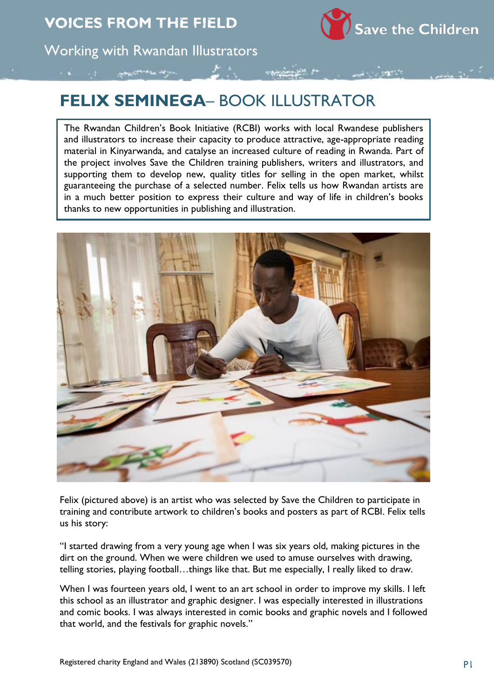Save the Children

Working with Rwandan Illustrators

## **FELIX SEMINEGA**– BOOK ILLUSTRATOR

The Rwandan Children's Book Initiative (RCBI) works with local Rwandese publishers and illustrators to increase their capacity to produce attractive, age-appropriate reading material in Kinyarwanda, and catalyse an increased culture of reading in Rwanda. Part of the project involves Save the Children training publishers, writers and illustrators, and supporting them to develop new, quality titles for selling in the open market, whilst guaranteeing the purchase of a selected number. Felix tells us how Rwandan artists are in a much better position to express their culture and way of life in children's books thanks to new opportunities in publishing and illustration.



Felix (pictured above) is an artist who was selected by Save the Children to participate in training and contribute artwork to children's books and posters as part of RCBI. Felix tells us his story:

"I started drawing from a very young age when I was six years old, making pictures in the dirt on the ground. When we were children we used to amuse ourselves with drawing, telling stories, playing football…things like that. But me especially, I really liked to draw.

When I was fourteen years old, I went to an art school in order to improve my skills. I left this school as an illustrator and graphic designer. I was especially interested in illustrations and comic books. I was always interested in comic books and graphic novels and I followed that world, and the festivals for graphic novels."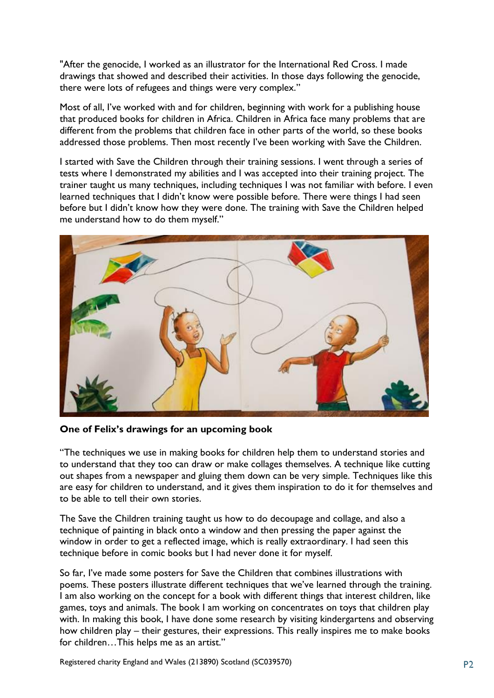"After the genocide, I worked as an illustrator for the International Red Cross. I made drawings that showed and described their activities. In those days following the genocide, there were lots of refugees and things were very complex."

Most of all, I've worked with and for children, beginning with work for a publishing house that produced books for children in Africa. Children in Africa face many problems that are different from the problems that children face in other parts of the world, so these books addressed those problems. Then most recently I've been working with Save the Children.

I started with Save the Children through their training sessions. I went through a series of tests where I demonstrated my abilities and I was accepted into their training project. The trainer taught us many techniques, including techniques I was not familiar with before. I even learned techniques that I didn't know were possible before. There were things I had seen before but I didn't know how they were done. The training with Save the Children helped me understand how to do them myself."



**One of Felix's drawings for an upcoming book** 

"The techniques we use in making books for children help them to understand stories and to understand that they too can draw or make collages themselves. A technique like cutting out shapes from a newspaper and gluing them down can be very simple. Techniques like this are easy for children to understand, and it gives them inspiration to do it for themselves and to be able to tell their own stories.

The Save the Children training taught us how to do decoupage and collage, and also a technique of painting in black onto a window and then pressing the paper against the window in order to get a reflected image, which is really extraordinary. I had seen this technique before in comic books but I had never done it for myself.

So far, I've made some posters for Save the Children that combines illustrations with poems. These posters illustrate different techniques that we've learned through the training. I am also working on the concept for a book with different things that interest children, like games, toys and animals. The book I am working on concentrates on toys that children play with. In making this book, I have done some research by visiting kindergartens and observing how children play – their gestures, their expressions. This really inspires me to make books for children…This helps me as an artist."